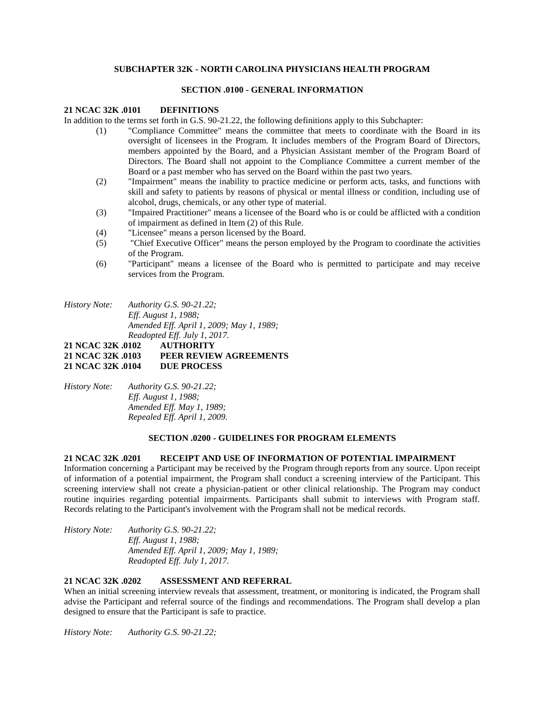# **SUBCHAPTER 32K - NORTH CAROLINA PHYSICIANS HEALTH PROGRAM**

#### **SECTION .0100 - GENERAL INFORMATION**

#### **21 NCAC 32K .0101 DEFINITIONS**

In addition to the terms set forth in G.S. 90-21.22, the following definitions apply to this Subchapter:

- (1) "Compliance Committee" means the committee that meets to coordinate with the Board in its oversight of licensees in the Program. It includes members of the Program Board of Directors, members appointed by the Board, and a Physician Assistant member of the Program Board of Directors. The Board shall not appoint to the Compliance Committee a current member of the Board or a past member who has served on the Board within the past two years.
- (2) "Impairment" means the inability to practice medicine or perform acts, tasks, and functions with skill and safety to patients by reasons of physical or mental illness or condition, including use of alcohol, drugs, chemicals, or any other type of material.
- (3) "Impaired Practitioner" means a licensee of the Board who is or could be afflicted with a condition of impairment as defined in Item (2) of this Rule.
- (4) "Licensee" means a person licensed by the Board.
- (5) "Chief Executive Officer" means the person employed by the Program to coordinate the activities of the Program.
- (6) "Participant" means a licensee of the Board who is permitted to participate and may receive services from the Program.
- *History Note: Authority G.S. 90-21.22; Eff. August 1, 1988; Amended Eff. April 1, 2009; May 1, 1989; Readopted Eff. July 1, 2017.*

## **21 NCAC 32K .0102 AUTHORITY 21 NCAC 32K .0103 PEER REVIEW AGREEMENTS 21 NCAC 32K .0104 DUE PROCESS**

*History Note: Authority G.S. 90-21.22; Eff. August 1, 1988; Amended Eff. May 1, 1989; Repealed Eff. April 1, 2009.*

## **SECTION .0200 - GUIDELINES FOR PROGRAM ELEMENTS**

## **21 NCAC 32K .0201 RECEIPT AND USE OF INFORMATION OF POTENTIAL IMPAIRMENT**

Information concerning a Participant may be received by the Program through reports from any source. Upon receipt of information of a potential impairment, the Program shall conduct a screening interview of the Participant. This screening interview shall not create a physician-patient or other clinical relationship. The Program may conduct routine inquiries regarding potential impairments. Participants shall submit to interviews with Program staff. Records relating to the Participant's involvement with the Program shall not be medical records.

*History Note: Authority G.S. 90-21.22; Eff. August 1, 1988; Amended Eff. April 1, 2009; May 1, 1989; Readopted Eff. July 1, 2017.*

#### **21 NCAC 32K .0202 ASSESSMENT AND REFERRAL**

When an initial screening interview reveals that assessment, treatment, or monitoring is indicated, the Program shall advise the Participant and referral source of the findings and recommendations. The Program shall develop a plan designed to ensure that the Participant is safe to practice.

*History Note: Authority G.S. 90-21.22;*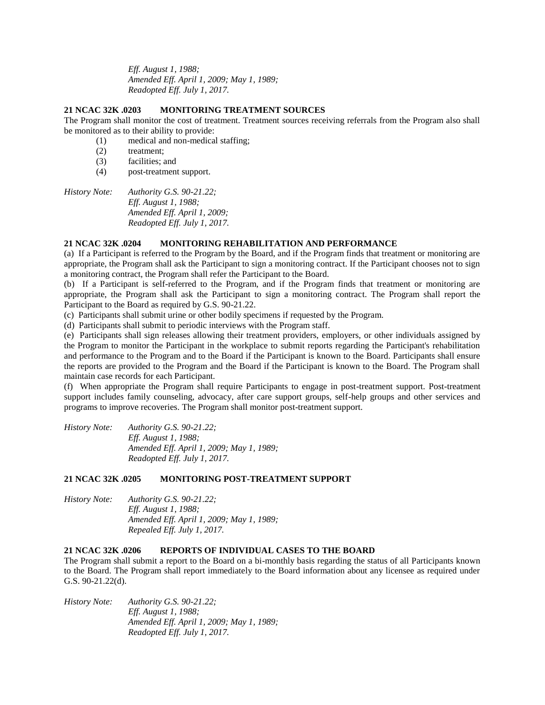*Eff. August 1, 1988; Amended Eff. April 1, 2009; May 1, 1989; Readopted Eff. July 1, 2017.*

## **21 NCAC 32K .0203 MONITORING TREATMENT SOURCES**

The Program shall monitor the cost of treatment. Treatment sources receiving referrals from the Program also shall be monitored as to their ability to provide:

(1) medical and non-medical staffing;

- (2) treatment;
- (3) facilities; and
- (4) post-treatment support.

*History Note: Authority G.S. 90-21.22; Eff. August 1, 1988; Amended Eff. April 1, 2009; Readopted Eff. July 1, 2017.*

# **21 NCAC 32K .0204 MONITORING REHABILITATION AND PERFORMANCE**

(a) If a Participant is referred to the Program by the Board, and if the Program finds that treatment or monitoring are appropriate, the Program shall ask the Participant to sign a monitoring contract. If the Participant chooses not to sign a monitoring contract, the Program shall refer the Participant to the Board.

(b) If a Participant is self-referred to the Program, and if the Program finds that treatment or monitoring are appropriate, the Program shall ask the Participant to sign a monitoring contract. The Program shall report the Participant to the Board as required by G.S. 90-21.22.

(c) Participants shall submit urine or other bodily specimens if requested by the Program.

(d) Participants shall submit to periodic interviews with the Program staff.

(e) Participants shall sign releases allowing their treatment providers, employers, or other individuals assigned by the Program to monitor the Participant in the workplace to submit reports regarding the Participant's rehabilitation and performance to the Program and to the Board if the Participant is known to the Board. Participants shall ensure the reports are provided to the Program and the Board if the Participant is known to the Board. The Program shall maintain case records for each Participant.

(f) When appropriate the Program shall require Participants to engage in post-treatment support. Post-treatment support includes family counseling, advocacy, after care support groups, self-help groups and other services and programs to improve recoveries. The Program shall monitor post-treatment support.

| History Note: | Authority G.S. $90-21.22$ ;              |
|---------------|------------------------------------------|
|               | <i>Eff. August 1, 1988:</i>              |
|               | Amended Eff. April 1, 2009; May 1, 1989; |
|               | Readopted Eff. July 1, 2017.             |

# **21 NCAC 32K .0205 MONITORING POST-TREATMENT SUPPORT**

*History Note: Authority G.S. 90-21.22; Eff. August 1, 1988; Amended Eff. April 1, 2009; May 1, 1989; Repealed Eff. July 1, 2017.*

# **21 NCAC 32K .0206 REPORTS OF INDIVIDUAL CASES TO THE BOARD**

The Program shall submit a report to the Board on a bi-monthly basis regarding the status of all Participants known to the Board. The Program shall report immediately to the Board information about any licensee as required under G.S. 90-21.22(d).

*History Note: Authority G.S. 90-21.22; Eff. August 1, 1988; Amended Eff. April 1, 2009; May 1, 1989; Readopted Eff. July 1, 2017.*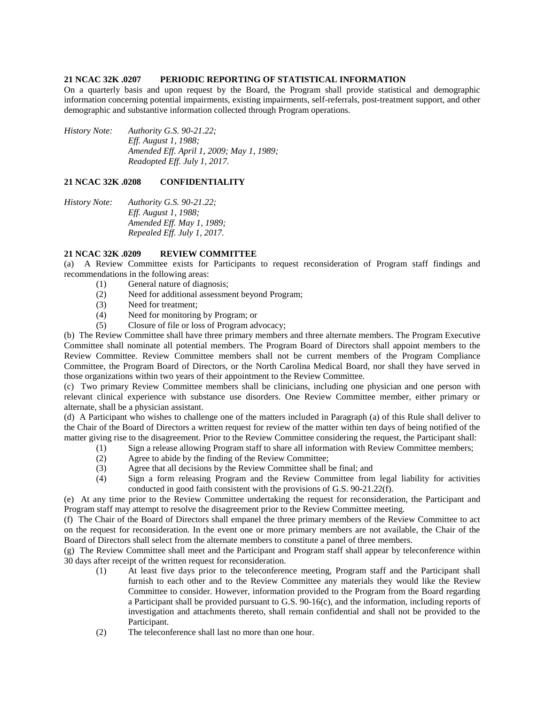#### **21 NCAC 32K .0207 PERIODIC REPORTING OF STATISTICAL INFORMATION**

On a quarterly basis and upon request by the Board, the Program shall provide statistical and demographic information concerning potential impairments, existing impairments, self-referrals, post-treatment support, and other demographic and substantive information collected through Program operations.

*History Note: Authority G.S. 90-21.22; Eff. August 1, 1988; Amended Eff. April 1, 2009; May 1, 1989; Readopted Eff. July 1, 2017.*

## **21 NCAC 32K .0208 CONFIDENTIALITY**

*History Note: Authority G.S. 90-21.22; Eff. August 1, 1988; Amended Eff. May 1, 1989; Repealed Eff. July 1, 2017.*

## **21 NCAC 32K .0209 REVIEW COMMITTEE**

(a) A Review Committee exists for Participants to request reconsideration of Program staff findings and recommendations in the following areas:

- (1) General nature of diagnosis;
- (2) Need for additional assessment beyond Program;
- (3) Need for treatment;
- (4) Need for monitoring by Program; or
- (5) Closure of file or loss of Program advocacy;

(b) The Review Committee shall have three primary members and three alternate members. The Program Executive Committee shall nominate all potential members. The Program Board of Directors shall appoint members to the Review Committee. Review Committee members shall not be current members of the Program Compliance Committee, the Program Board of Directors, or the North Carolina Medical Board, nor shall they have served in those organizations within two years of their appointment to the Review Committee.

(c) Two primary Review Committee members shall be clinicians, including one physician and one person with relevant clinical experience with substance use disorders. One Review Committee member, either primary or alternate, shall be a physician assistant.

(d) A Participant who wishes to challenge one of the matters included in Paragraph (a) of this Rule shall deliver to the Chair of the Board of Directors a written request for review of the matter within ten days of being notified of the matter giving rise to the disagreement. Prior to the Review Committee considering the request, the Participant shall:

- (1) Sign a release allowing Program staff to share all information with Review Committee members;
- (2) Agree to abide by the finding of the Review Committee;
- (3) Agree that all decisions by the Review Committee shall be final; and
- (4) Sign a form releasing Program and the Review Committee from legal liability for activities conducted in good faith consistent with the provisions of G.S. 90-21.22(f).

(e) At any time prior to the Review Committee undertaking the request for reconsideration, the Participant and Program staff may attempt to resolve the disagreement prior to the Review Committee meeting.

(f) The Chair of the Board of Directors shall empanel the three primary members of the Review Committee to act on the request for reconsideration. In the event one or more primary members are not available, the Chair of the Board of Directors shall select from the alternate members to constitute a panel of three members.

(g) The Review Committee shall meet and the Participant and Program staff shall appear by teleconference within 30 days after receipt of the written request for reconsideration.

- (1) At least five days prior to the teleconference meeting, Program staff and the Participant shall furnish to each other and to the Review Committee any materials they would like the Review Committee to consider. However, information provided to the Program from the Board regarding a Participant shall be provided pursuant to G.S. 90-16(c), and the information, including reports of investigation and attachments thereto, shall remain confidential and shall not be provided to the Participant.
- (2) The teleconference shall last no more than one hour.